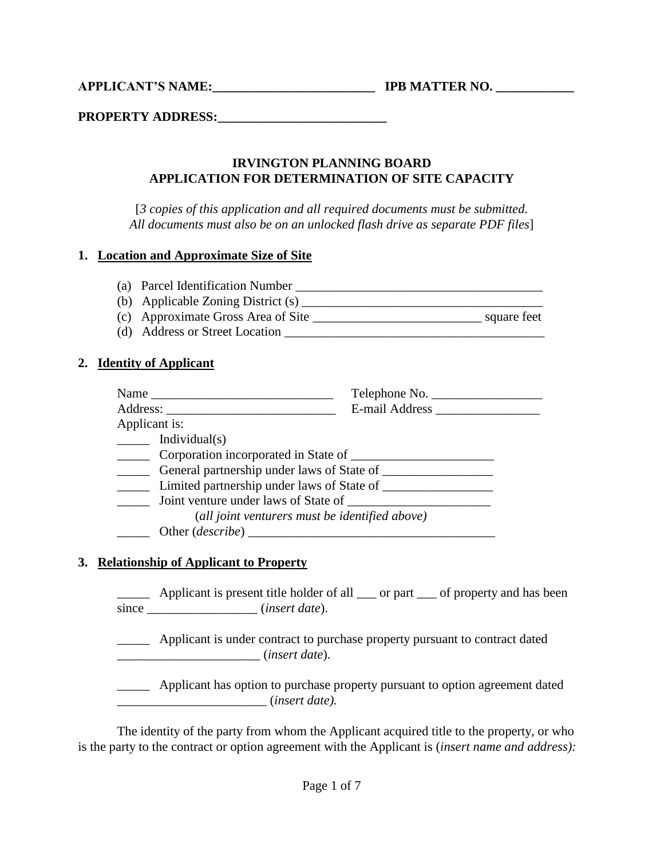**APPLICANT'S NAME:\_\_\_\_\_\_\_\_\_\_\_\_\_\_\_\_\_\_\_\_\_\_\_\_\_ IPB MATTER NO. \_\_\_\_\_\_\_\_\_\_\_\_**

**PROPERTY ADDRESS:\_\_\_\_\_\_\_\_\_\_\_\_\_\_\_\_\_\_\_\_\_\_\_\_\_\_**

#### **IRVINGTON PLANNING BOARD APPLICATION FOR DETERMINATION OF SITE CAPACITY**

[*3 copies of this application and all required documents must be submitted. All documents must also be on an unlocked flash drive as separate PDF files*]

#### **1. Location and Approximate Size of Site**

- (a) Parcel Identification Number \_\_\_\_\_\_\_\_\_\_\_\_\_\_\_\_\_\_\_\_\_\_\_\_\_\_\_\_\_\_\_\_\_\_\_\_\_\_
- (b) Applicable Zoning District  $(s)$
- (c) Approximate Gross Area of Site \_\_\_\_\_\_\_\_\_\_\_\_\_\_\_\_\_\_\_\_\_\_\_\_\_\_ square feet
- (d) Address or Street Location \_\_\_\_\_\_\_\_\_\_\_\_\_\_\_\_\_\_\_\_\_\_\_\_\_\_\_\_\_\_\_\_\_\_\_\_\_\_\_\_

### **2. Identity of Applicant**

|                                                                                                                                                                                                                                                                                                                                                                                                                                   | Telephone No.  |
|-----------------------------------------------------------------------------------------------------------------------------------------------------------------------------------------------------------------------------------------------------------------------------------------------------------------------------------------------------------------------------------------------------------------------------------|----------------|
|                                                                                                                                                                                                                                                                                                                                                                                                                                   | E-mail Address |
| Applicant is:                                                                                                                                                                                                                                                                                                                                                                                                                     |                |
| $\frac{1}{\sqrt{1-\frac{1}{\sqrt{1-\frac{1}{\sqrt{1-\frac{1}{\sqrt{1-\frac{1}{\sqrt{1-\frac{1}{\sqrt{1-\frac{1}{\sqrt{1-\frac{1}{\sqrt{1-\frac{1}{\sqrt{1-\frac{1}{\sqrt{1-\frac{1}{\sqrt{1-\frac{1}{\sqrt{1-\frac{1}{\sqrt{1-\frac{1}{\sqrt{1-\frac{1}{\sqrt{1-\frac{1}{\sqrt{1-\frac{1}{\sqrt{1-\frac{1}{\sqrt{1-\frac{1}{\sqrt{1-\frac{1}{\sqrt{1-\frac{1}{\sqrt{1-\frac{1}{\sqrt{1-\frac{1}{\sqrt{1-\frac{1}{\sqrt{1-\frac{1$ |                |
| Corporation incorporated in State of                                                                                                                                                                                                                                                                                                                                                                                              |                |
| General partnership under laws of State of                                                                                                                                                                                                                                                                                                                                                                                        |                |
| Limited partnership under laws of State of                                                                                                                                                                                                                                                                                                                                                                                        |                |
| Joint venture under laws of State of                                                                                                                                                                                                                                                                                                                                                                                              |                |
| (all joint venturers must be identified above)                                                                                                                                                                                                                                                                                                                                                                                    |                |
|                                                                                                                                                                                                                                                                                                                                                                                                                                   |                |

#### **3. Relationship of Applicant to Property**

\_\_\_\_\_ Applicant is present title holder of all \_\_\_ or part \_\_\_ of property and has been since \_\_\_\_\_\_\_\_\_\_\_\_\_\_\_\_\_ (*insert date*).

\_\_\_\_\_ Applicant is under contract to purchase property pursuant to contract dated \_\_\_\_\_\_\_\_\_\_\_\_\_\_\_\_\_\_\_\_\_\_ (*insert date*).

Applicant has option to purchase property pursuant to option agreement dated \_\_\_\_\_\_\_\_\_\_\_\_\_\_\_\_\_\_\_\_\_\_\_ (*insert date).*

The identity of the party from whom the Applicant acquired title to the property, or who is the party to the contract or option agreement with the Applicant is (*insert name and address):*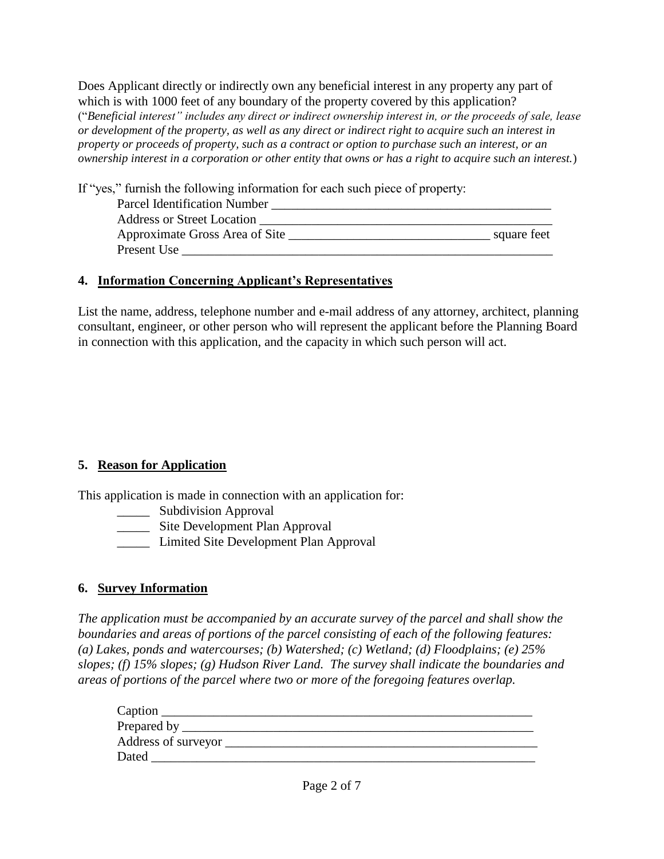Does Applicant directly or indirectly own any beneficial interest in any property any part of which is with 1000 feet of any boundary of the property covered by this application? ("*Beneficial interest" includes any direct or indirect ownership interest in, or the proceeds of sale, lease or development of the property, as well as any direct or indirect right to acquire such an interest in property or proceeds of property, such as a contract or option to purchase such an interest, or an ownership interest in a corporation or other entity that owns or has a right to acquire such an interest.*)

If "yes," furnish the following information for each such piece of property:

| <b>Parcel Identification Number</b> |             |
|-------------------------------------|-------------|
| <b>Address or Street Location</b>   |             |
| Approximate Gross Area of Site      | square feet |
| Present Use                         |             |

# **4. Information Concerning Applicant's Representatives**

List the name, address, telephone number and e-mail address of any attorney, architect, planning consultant, engineer, or other person who will represent the applicant before the Planning Board in connection with this application, and the capacity in which such person will act.

# **5. Reason for Application**

This application is made in connection with an application for:

- \_\_\_\_\_\_ Subdivision Approval
- **Example 2.5** Site Development Plan Approval
- \_\_\_\_\_ Limited Site Development Plan Approval

# **6. Survey Information**

*The application must be accompanied by an accurate survey of the parcel and shall show the boundaries and areas of portions of the parcel consisting of each of the following features: (a) Lakes, ponds and watercourses; (b) Watershed; (c) Wetland; (d) Floodplains; (e) 25% slopes; (f) 15% slopes; (g) Hudson River Land. The survey shall indicate the boundaries and areas of portions of the parcel where two or more of the foregoing features overlap.*

| Caption             |
|---------------------|
| Prepared by _       |
| Address of surveyor |
| Dated               |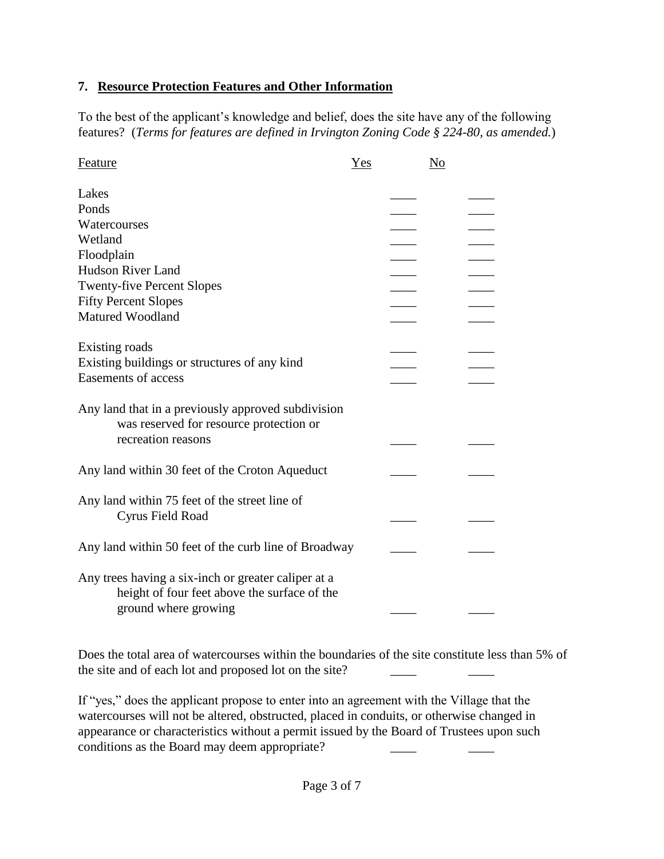## **7. Resource Protection Features and Other Information**

To the best of the applicant's knowledge and belief, does the site have any of the following features? (*Terms for features are defined in Irvington Zoning Code § 224-80, as amended.*)

| Feature                                                                                                                     | Yes | No |
|-----------------------------------------------------------------------------------------------------------------------------|-----|----|
| Lakes                                                                                                                       |     |    |
| Ponds                                                                                                                       |     |    |
| Watercourses                                                                                                                |     |    |
| Wetland                                                                                                                     |     |    |
| Floodplain                                                                                                                  |     |    |
| Hudson River Land                                                                                                           |     |    |
| <b>Twenty-five Percent Slopes</b>                                                                                           |     |    |
| <b>Fifty Percent Slopes</b>                                                                                                 |     |    |
| <b>Matured Woodland</b>                                                                                                     |     |    |
|                                                                                                                             |     |    |
| Existing roads                                                                                                              |     |    |
| Existing buildings or structures of any kind                                                                                |     |    |
| <b>Easements of access</b>                                                                                                  |     |    |
| Any land that in a previously approved subdivision<br>was reserved for resource protection or<br>recreation reasons         |     |    |
| Any land within 30 feet of the Croton Aqueduct                                                                              |     |    |
| Any land within 75 feet of the street line of<br>Cyrus Field Road                                                           |     |    |
| Any land within 50 feet of the curb line of Broadway                                                                        |     |    |
| Any trees having a six-inch or greater caliper at a<br>height of four feet above the surface of the<br>ground where growing |     |    |

Does the total area of watercourses within the boundaries of the site constitute less than 5% of the site and of each lot and proposed lot on the site?

If "yes," does the applicant propose to enter into an agreement with the Village that the watercourses will not be altered, obstructed, placed in conduits, or otherwise changed in appearance or characteristics without a permit issued by the Board of Trustees upon such conditions as the Board may deem appropriate?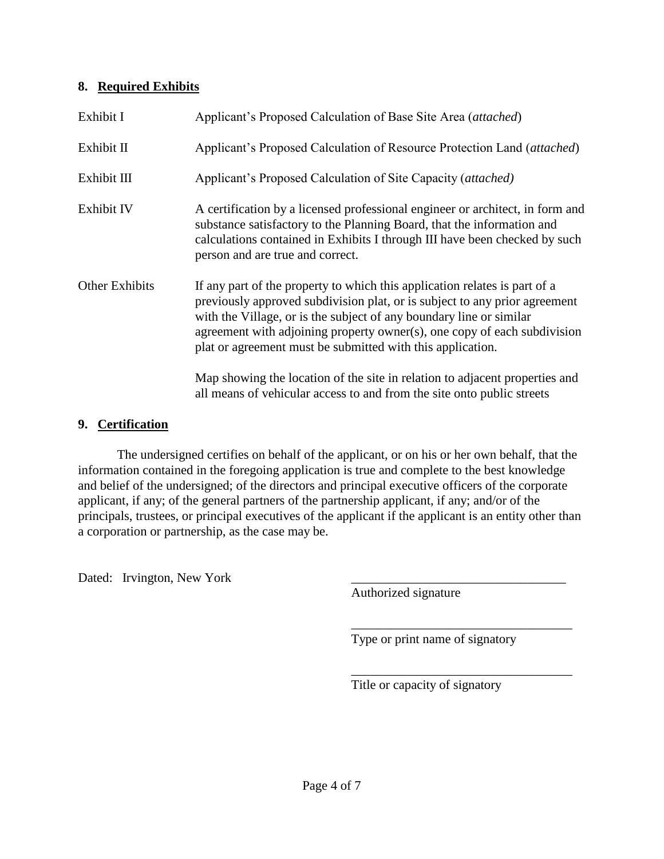### **8. Required Exhibits**

| Exhibit I             | Applicant's Proposed Calculation of Base Site Area (attached)                                                                                                                                                                                                                                                                                                             |
|-----------------------|---------------------------------------------------------------------------------------------------------------------------------------------------------------------------------------------------------------------------------------------------------------------------------------------------------------------------------------------------------------------------|
| Exhibit II            | Applicant's Proposed Calculation of Resource Protection Land (attached)                                                                                                                                                                                                                                                                                                   |
| Exhibit III           | Applicant's Proposed Calculation of Site Capacity (attached)                                                                                                                                                                                                                                                                                                              |
| Exhibit IV            | A certification by a licensed professional engineer or architect, in form and<br>substance satisfactory to the Planning Board, that the information and<br>calculations contained in Exhibits I through III have been checked by such<br>person and are true and correct.                                                                                                 |
| <b>Other Exhibits</b> | If any part of the property to which this application relates is part of a<br>previously approved subdivision plat, or is subject to any prior agreement<br>with the Village, or is the subject of any boundary line or similar<br>agreement with adjoining property owner(s), one copy of each subdivision<br>plat or agreement must be submitted with this application. |
|                       | Map showing the location of the site in relation to adjacent properties and<br>all means of vehicular access to and from the site onto public streets                                                                                                                                                                                                                     |

### **9. Certification**

The undersigned certifies on behalf of the applicant, or on his or her own behalf, that the information contained in the foregoing application is true and complete to the best knowledge and belief of the undersigned; of the directors and principal executive officers of the corporate applicant, if any; of the general partners of the partnership applicant, if any; and/or of the principals, trustees, or principal executives of the applicant if the applicant is an entity other than a corporation or partnership, as the case may be.

Dated: Irvington, New York

Authorized signature

Type or print name of signatory

\_\_\_\_\_\_\_\_\_\_\_\_\_\_\_\_\_\_\_\_\_\_\_\_\_\_\_\_\_\_\_\_\_\_

\_\_\_\_\_\_\_\_\_\_\_\_\_\_\_\_\_\_\_\_\_\_\_\_\_\_\_\_\_\_\_\_\_\_ Title or capacity of signatory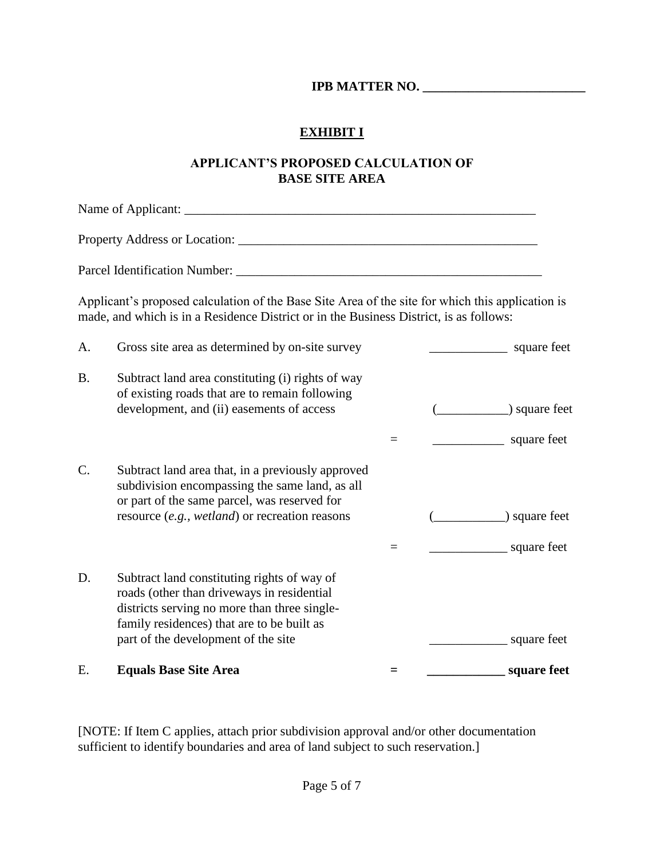**IPB MATTER NO.** 

## **EXHIBIT I**

### **APPLICANT'S PROPOSED CALCULATION OF BASE SITE AREA**

Name of Applicant: \_\_\_\_\_\_\_\_\_\_\_\_\_\_\_\_\_\_\_\_\_\_\_\_\_\_\_\_\_\_\_\_\_\_\_\_\_\_\_\_\_\_\_\_\_\_\_\_\_\_\_\_\_\_ Property Address or Location: Parcel Identification Number: \_\_\_\_\_\_\_\_\_\_\_\_\_\_\_\_\_\_\_\_\_\_\_\_\_\_\_\_\_\_\_\_\_\_\_\_\_\_\_\_\_\_\_\_\_\_\_ Applicant's proposed calculation of the Base Site Area of the site for which this application is made, and which is in a Residence District or in the Business District, is as follows: A. Gross site area as determined by on-site survey \_\_\_\_\_\_\_\_\_\_\_\_\_\_\_ square feet B. Subtract land area constituting (i) rights of way of existing roads that are to remain following development, and (ii) easements of access (\_\_\_\_\_\_\_\_\_\_\_) square feet  $=$   $\frac{1}{2}$  square feet C. Subtract land area that, in a previously approved subdivision encompassing the same land, as all or part of the same parcel, was reserved for resource (*e.g., wetland*) or recreation reasons (\_\_\_\_\_\_\_\_\_\_\_) square feet  $=$  \_\_\_\_\_\_\_\_\_\_\_\_\_\_\_\_\_\_\_\_\_\_ square feet D. Subtract land constituting rights of way of roads (other than driveways in residential districts serving no more than three singlefamily residences) that are to be built as part of the development of the site square feet E. **Equals Base Site Area = \_\_\_\_\_\_\_\_\_\_\_\_ square feet**

[NOTE: If Item C applies, attach prior subdivision approval and/or other documentation sufficient to identify boundaries and area of land subject to such reservation.]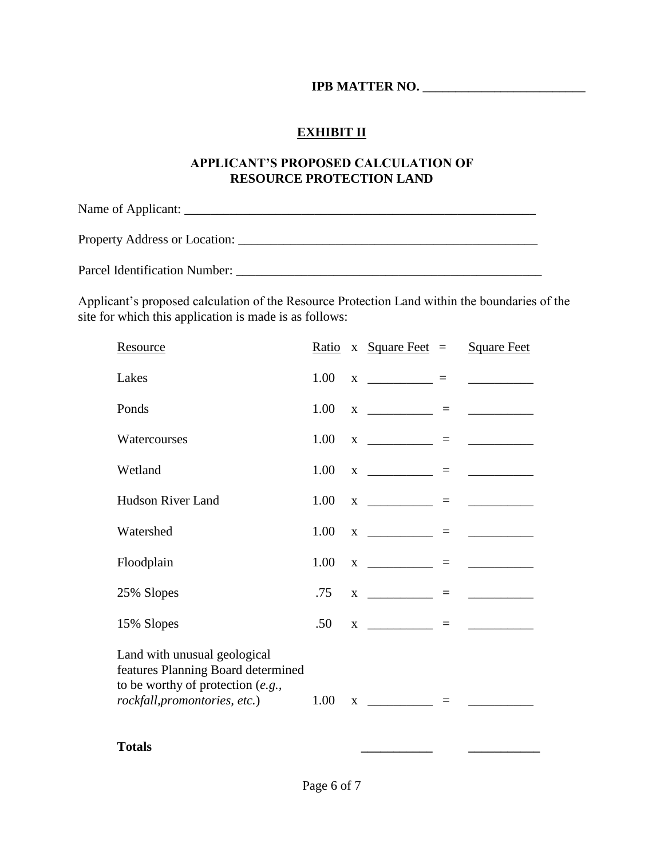## **IPB MATTER NO. \_\_\_\_\_\_\_\_\_\_\_\_\_\_\_\_\_\_\_\_\_\_\_\_\_**

### **EXHIBIT II**

#### **APPLICANT'S PROPOSED CALCULATION OF RESOURCE PROTECTION LAND**

Name of Applicant: \_\_\_\_\_\_\_\_\_\_\_\_\_\_\_\_\_\_\_\_\_\_\_\_\_\_\_\_\_\_\_\_\_\_\_\_\_\_\_\_\_\_\_\_\_\_\_\_\_\_\_\_\_\_

Property Address or Location: \_\_\_\_\_\_\_\_\_\_\_\_\_\_\_\_\_\_\_\_\_\_\_\_\_\_\_\_\_\_\_\_\_\_\_\_\_\_\_\_\_\_\_\_\_\_

Parcel Identification Number: \_\_\_\_\_\_\_\_\_\_\_\_\_\_\_\_\_\_\_\_\_\_\_\_\_\_\_\_\_\_\_\_\_\_\_\_\_\_\_\_\_\_\_\_\_\_\_

Applicant's proposed calculation of the Resource Protection Land within the boundaries of the site for which this application is made is as follows:

| <u>Resource</u>                                                                                                                            | Ratio |   | x $Square$ Feet $=$              | <b>Square Feet</b>                  |
|--------------------------------------------------------------------------------------------------------------------------------------------|-------|---|----------------------------------|-------------------------------------|
| Lakes                                                                                                                                      | 1.00  |   | $X$ $\qquad$ =                   | <u> 1980 - Jan Barbara Barat, p</u> |
| Ponds                                                                                                                                      | 1.00  |   | $X$ ____________ = _____________ |                                     |
| Watercourses                                                                                                                               | 1.00  |   |                                  |                                     |
| Wetland                                                                                                                                    | 1.00  |   |                                  |                                     |
| <b>Hudson River Land</b>                                                                                                                   | 1.00  |   | $X$ ___________ = _________      |                                     |
| Watershed                                                                                                                                  | 1.00  |   |                                  |                                     |
| Floodplain                                                                                                                                 | 1.00  |   |                                  |                                     |
| 25% Slopes                                                                                                                                 | .75   |   | $X \t = \t = \t =$               |                                     |
| 15% Slopes                                                                                                                                 | .50   |   |                                  |                                     |
| Land with unusual geological<br>features Planning Board determined<br>to be worthy of protection $(e.g.,$<br>rockfall, promontories, etc.) | 1.00  | X |                                  |                                     |
|                                                                                                                                            |       |   |                                  |                                     |

**Totals \_\_\_\_\_\_\_\_\_\_\_ \_\_\_\_\_\_\_\_\_\_\_**